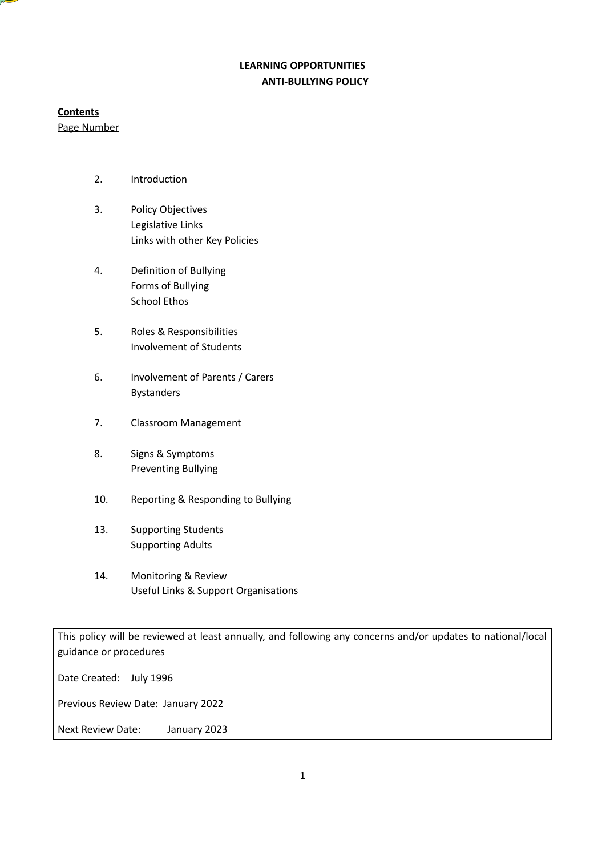# **LEARNING OPPORTUNITIES ANTI-BULLYING POLICY**

### **Contents**

Page Number

- 2. Introduction
- 3. Policy Objectives Legislative Links Links with other Key Policies
- 4. Definition of Bullying Forms of Bullying School Ethos
- 5. Roles & Responsibilities Involvement of Students
- 6. Involvement of Parents / Carers Bystanders
- 7. Classroom Management
- 8. Signs & Symptoms Preventing Bullying
- 10. Reporting & Responding to Bullying
- 13. Supporting Students Supporting Adults
- 14. Monitoring & Review Useful Links & Support Organisations

This policy will be reviewed at least annually, and following any concerns and/or updates to national/local guidance or procedures

Date Created: July 1996

Previous Review Date: January 2022

Next Review Date: January 2023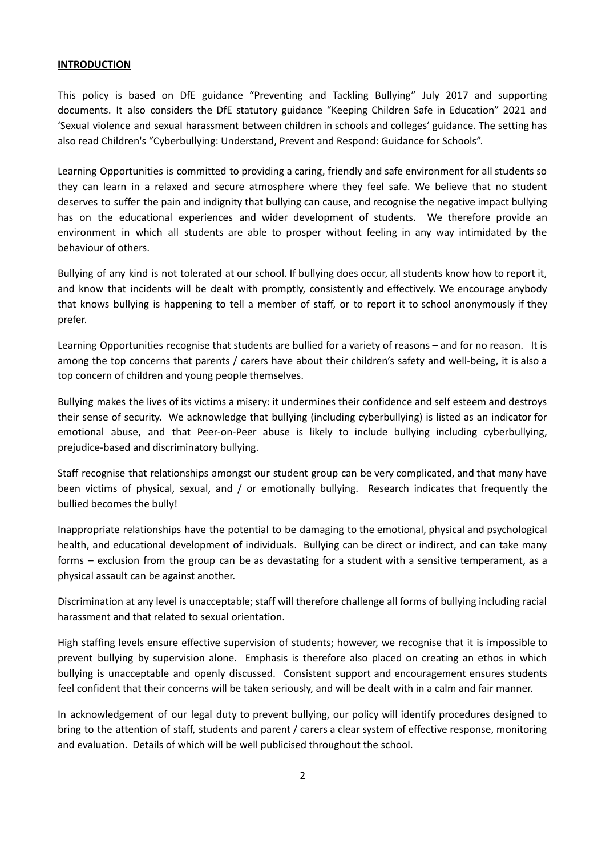#### **INTRODUCTION**

This policy is based on DfE guidance "Preventing and Tackling Bullying" July 2017 and supporting documents. It also considers the DfE statutory guidance "Keeping Children Safe in Education" 2021 and 'Sexual violence and sexual harassment between children in schools and colleges' guidance. The setting has also read Children's "Cyberbullying: Understand, Prevent and Respond: Guidance for Schools".

Learning Opportunities is committed to providing a caring, friendly and safe environment for all students so they can learn in a relaxed and secure atmosphere where they feel safe. We believe that no student deserves to suffer the pain and indignity that bullying can cause, and recognise the negative impact bullying has on the educational experiences and wider development of students. We therefore provide an environment in which all students are able to prosper without feeling in any way intimidated by the behaviour of others.

Bullying of any kind is not tolerated at our school. If bullying does occur, all students know how to report it, and know that incidents will be dealt with promptly, consistently and effectively. We encourage anybody that knows bullying is happening to tell a member of staff, or to report it to school anonymously if they prefer.

Learning Opportunities recognise that students are bullied for a variety of reasons – and for no reason. It is among the top concerns that parents / carers have about their children's safety and well-being, it is also a top concern of children and young people themselves.

Bullying makes the lives of its victims a misery: it undermines their confidence and self esteem and destroys their sense of security. We acknowledge that bullying (including cyberbullying) is listed as an indicator for emotional abuse, and that Peer-on-Peer abuse is likely to include bullying including cyberbullying, prejudice-based and discriminatory bullying.

Staff recognise that relationships amongst our student group can be very complicated, and that many have been victims of physical, sexual, and / or emotionally bullying. Research indicates that frequently the bullied becomes the bully!

Inappropriate relationships have the potential to be damaging to the emotional, physical and psychological health, and educational development of individuals. Bullying can be direct or indirect, and can take many forms – exclusion from the group can be as devastating for a student with a sensitive temperament, as a physical assault can be against another.

Discrimination at any level is unacceptable; staff will therefore challenge all forms of bullying including racial harassment and that related to sexual orientation.

High staffing levels ensure effective supervision of students; however, we recognise that it is impossible to prevent bullying by supervision alone. Emphasis is therefore also placed on creating an ethos in which bullying is unacceptable and openly discussed. Consistent support and encouragement ensures students feel confident that their concerns will be taken seriously, and will be dealt with in a calm and fair manner.

In acknowledgement of our legal duty to prevent bullying, our policy will identify procedures designed to bring to the attention of staff, students and parent / carers a clear system of effective response, monitoring and evaluation. Details of which will be well publicised throughout the school.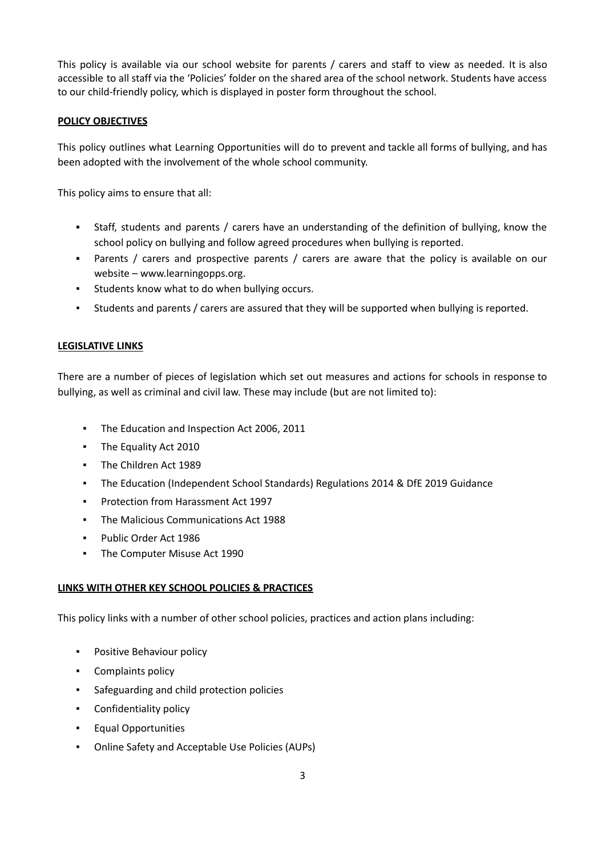This policy is available via our school website for parents / carers and staff to view as needed. It is also accessible to all staff via the 'Policies' folder on the shared area of the school network. Students have access to our child-friendly policy, which is displayed in poster form throughout the school.

### **POLICY OBJECTIVES**

This policy outlines what Learning Opportunities will do to prevent and tackle all forms of bullying, and has been adopted with the involvement of the whole school community.

This policy aims to ensure that all:

- Staff, students and parents / carers have an understanding of the definition of bullying, know the school policy on bullying and follow agreed procedures when bullying is reported.
- Parents / carers and prospective parents / carers are aware that the policy is available on our website – www.learningopps.org.
- Students know what to do when bullying occurs.
- Students and parents / carers are assured that they will be supported when bullying is reported.

### **LEGISLATIVE LINKS**

There are a number of pieces of legislation which set out measures and actions for schools in response to bullying, as well as criminal and civil law. These may include (but are not limited to):

- The Education and Inspection Act 2006, 2011
- The Equality Act 2010
- The Children Act 1989
- The Education (Independent School Standards) Regulations 2014 & DfE 2019 Guidance
- Protection from Harassment Act 1997
- The Malicious Communications Act 1988
- Public Order Act 1986
- The Computer Misuse Act 1990

### **LINKS WITH OTHER KEY SCHOOL POLICIES & PRACTICES**

This policy links with a number of other school policies, practices and action plans including:

- **•** Positive Behaviour policy
- Complaints policy
- Safeguarding and child protection policies
- Confidentiality policy
- Equal Opportunities
- Online Safety and Acceptable Use Policies (AUPs)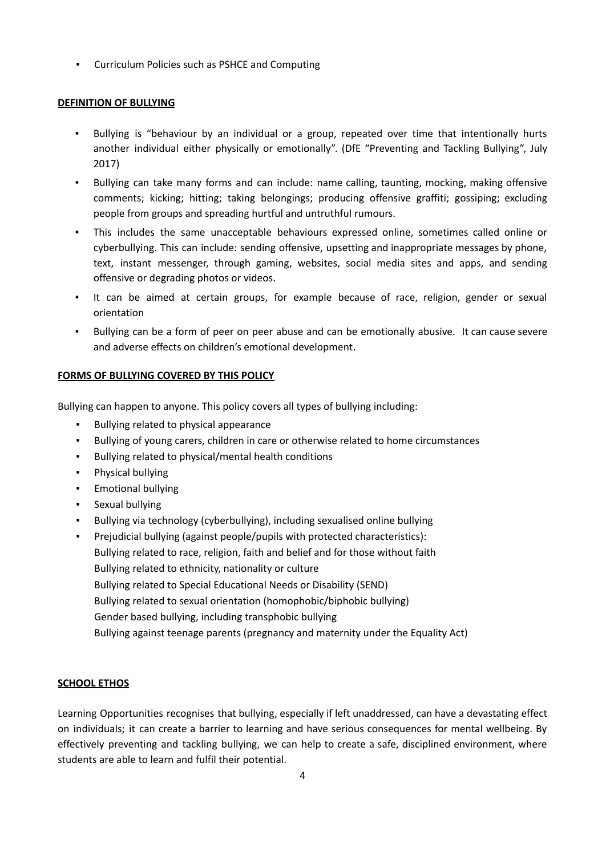▪ Curriculum Policies such as PSHCE and Computing

## **DEFINITION OF BULLYING**

- Bullying is "behaviour by an individual or a group, repeated over time that intentionally hurts another individual either physically or emotionally". (DfE "Preventing and Tackling Bullying", July 2017)
- Bullying can take many forms and can include: name calling, taunting, mocking, making offensive comments; kicking; hitting; taking belongings; producing offensive graffiti; gossiping; excluding people from groups and spreading hurtful and untruthful rumours.
- This includes the same unacceptable behaviours expressed online, sometimes called online or cyberbullying. This can include: sending offensive, upsetting and inappropriate messages by phone, text, instant messenger, through gaming, websites, social media sites and apps, and sending offensive or degrading photos or videos.
- It can be aimed at certain groups, for example because of race, religion, gender or sexual orientation
- Bullying can be a form of peer on peer abuse and can be emotionally abusive. It can cause severe and adverse effects on children's emotional development.

## **FORMS OF BULLYING COVERED BY THIS POLICY**

Bullying can happen to anyone. This policy covers all types of bullying including:

- Bullying related to physical appearance
- Bullying of young carers, children in care or otherwise related to home circumstances
- Bullying related to physical/mental health conditions
- Physical bullying
- Emotional bullying
- Sexual bullying
- Bullying via technology (cyberbullying), including sexualised online bullying
- Prejudicial bullying (against people/pupils with protected characteristics): Bullying related to race, religion, faith and belief and for those without faith Bullying related to ethnicity, nationality or culture Bullying related to Special Educational Needs or Disability (SEND) Bullying related to sexual orientation (homophobic/biphobic bullying) Gender based bullying, including transphobic bullying Bullying against teenage parents (pregnancy and maternity under the Equality Act)

## **SCHOOL ETHOS**

Learning Opportunities recognises that bullying, especially if left unaddressed, can have a devastating effect on individuals; it can create a barrier to learning and have serious consequences for mental wellbeing. By effectively preventing and tackling bullying, we can help to create a safe, disciplined environment, where students are able to learn and fulfil their potential.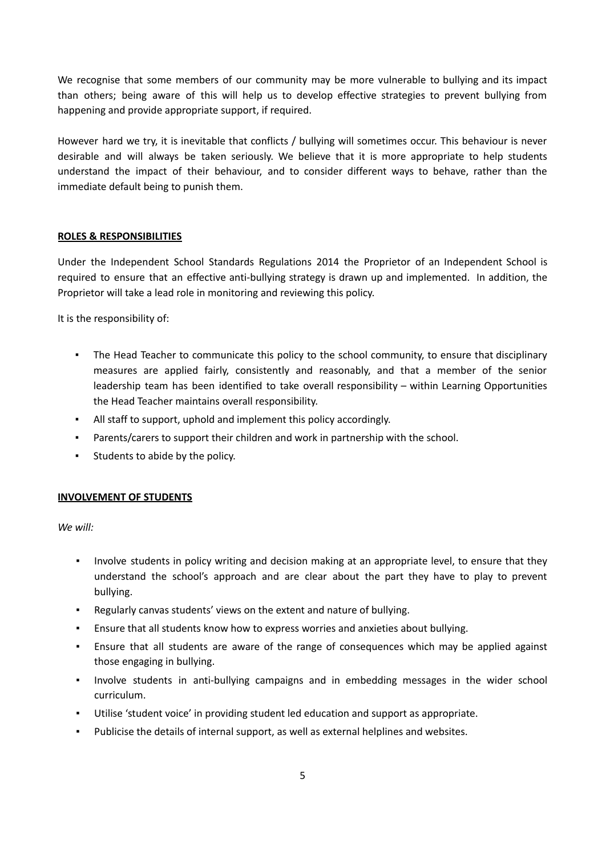We recognise that some members of our community may be more vulnerable to bullying and its impact than others; being aware of this will help us to develop effective strategies to prevent bullying from happening and provide appropriate support, if required.

However hard we try, it is inevitable that conflicts / bullying will sometimes occur. This behaviour is never desirable and will always be taken seriously. We believe that it is more appropriate to help students understand the impact of their behaviour, and to consider different ways to behave, rather than the immediate default being to punish them.

#### **ROLES & RESPONSIBILITIES**

Under the Independent School Standards Regulations 2014 the Proprietor of an Independent School is required to ensure that an effective anti-bullying strategy is drawn up and implemented. In addition, the Proprietor will take a lead role in monitoring and reviewing this policy.

It is the responsibility of:

- The Head Teacher to communicate this policy to the school community, to ensure that disciplinary measures are applied fairly, consistently and reasonably, and that a member of the senior leadership team has been identified to take overall responsibility – within Learning Opportunities the Head Teacher maintains overall responsibility.
- All staff to support, uphold and implement this policy accordingly.
- Parents/carers to support their children and work in partnership with the school.
- Students to abide by the policy.

#### **INVOLVEMENT OF STUDENTS**

*We will:*

- Involve students in policy writing and decision making at an appropriate level, to ensure that they understand the school's approach and are clear about the part they have to play to prevent bullying.
- Regularly canvas students' views on the extent and nature of bullying.
- Ensure that all students know how to express worries and anxieties about bullying.
- **•** Ensure that all students are aware of the range of consequences which may be applied against those engaging in bullying.
- Involve students in anti-bullying campaigns and in embedding messages in the wider school curriculum.
- Utilise 'student voice' in providing student led education and support as appropriate.
- Publicise the details of internal support, as well as external helplines and websites.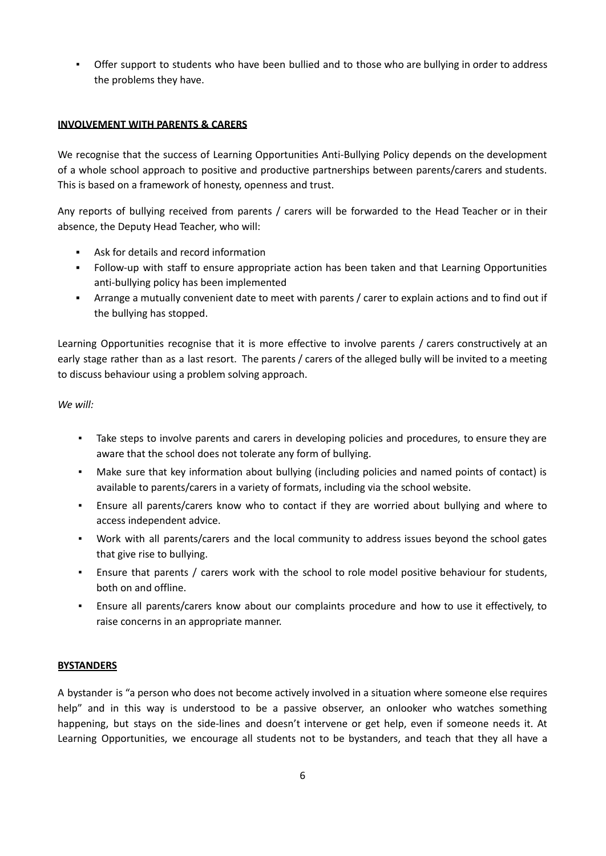▪ Offer support to students who have been bullied and to those who are bullying in order to address the problems they have.

### **INVOLVEMENT WITH PARENTS & CARERS**

We recognise that the success of Learning Opportunities Anti-Bullying Policy depends on the development of a whole school approach to positive and productive partnerships between parents/carers and students. This is based on a framework of honesty, openness and trust.

Any reports of bullying received from parents / carers will be forwarded to the Head Teacher or in their absence, the Deputy Head Teacher, who will:

- Ask for details and record information
- Follow-up with staff to ensure appropriate action has been taken and that Learning Opportunities anti-bullying policy has been implemented
- Arrange a mutually convenient date to meet with parents / carer to explain actions and to find out if the bullying has stopped.

Learning Opportunities recognise that it is more effective to involve parents / carers constructively at an early stage rather than as a last resort. The parents / carers of the alleged bully will be invited to a meeting to discuss behaviour using a problem solving approach.

*We will:*

- Take steps to involve parents and carers in developing policies and procedures, to ensure they are aware that the school does not tolerate any form of bullying.
- Make sure that key information about bullying (including policies and named points of contact) is available to parents/carers in a variety of formats, including via the school website.
- Ensure all parents/carers know who to contact if they are worried about bullying and where to access independent advice.
- Work with all parents/carers and the local community to address issues beyond the school gates that give rise to bullying.
- Ensure that parents / carers work with the school to role model positive behaviour for students, both on and offline.
- Ensure all parents/carers know about our complaints procedure and how to use it effectively, to raise concerns in an appropriate manner.

## **BYSTANDERS**

A bystander is "a person who does not become actively involved in a situation where someone else requires help" and in this way is understood to be a passive observer, an onlooker who watches something happening, but stays on the side-lines and doesn't intervene or get help, even if someone needs it. At Learning Opportunities, we encourage all students not to be bystanders, and teach that they all have a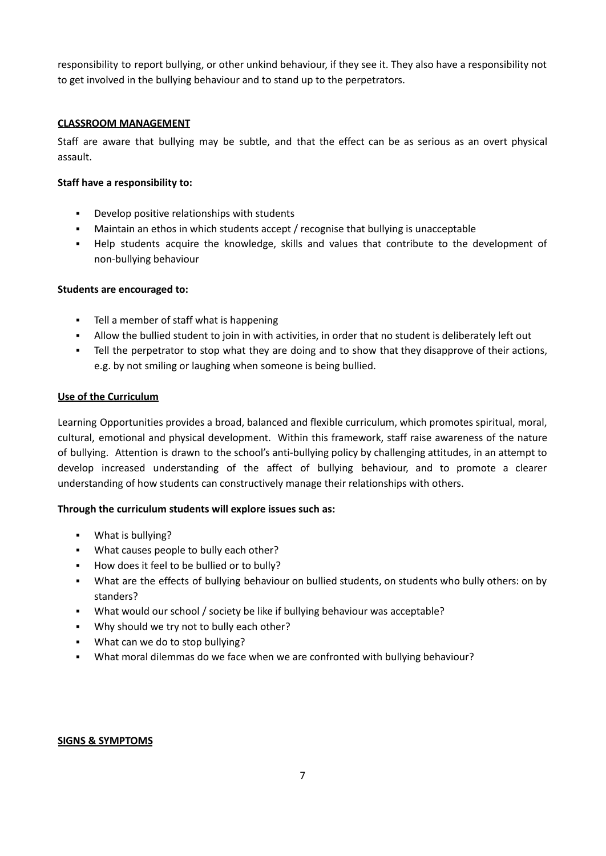responsibility to report bullying, or other unkind behaviour, if they see it. They also have a responsibility not to get involved in the bullying behaviour and to stand up to the perpetrators.

### **CLASSROOM MANAGEMENT**

Staff are aware that bullying may be subtle, and that the effect can be as serious as an overt physical assault.

### **Staff have a responsibility to:**

- Develop positive relationships with students
- **■** Maintain an ethos in which students accept / recognise that bullying is unacceptable
- Help students acquire the knowledge, skills and values that contribute to the development of non-bullying behaviour

### **Students are encouraged to:**

- Tell a member of staff what is happening
- Allow the bullied student to join in with activities, in order that no student is deliberately left out
- Tell the perpetrator to stop what they are doing and to show that they disapprove of their actions, e.g. by not smiling or laughing when someone is being bullied.

### **Use of the Curriculum**

Learning Opportunities provides a broad, balanced and flexible curriculum, which promotes spiritual, moral, cultural, emotional and physical development. Within this framework, staff raise awareness of the nature of bullying. Attention is drawn to the school's anti-bullying policy by challenging attitudes, in an attempt to develop increased understanding of the affect of bullying behaviour, and to promote a clearer understanding of how students can constructively manage their relationships with others.

### **Through the curriculum students will explore issues such as:**

- What is bullying?
- What causes people to bully each other?
- How does it feel to be bullied or to bully?
- What are the effects of bullying behaviour on bullied students, on students who bully others: on by standers?
- What would our school / society be like if bullying behaviour was acceptable?
- Why should we try not to bully each other?
- What can we do to stop bullying?
- What moral dilemmas do we face when we are confronted with bullying behaviour?

#### **SIGNS & SYMPTOMS**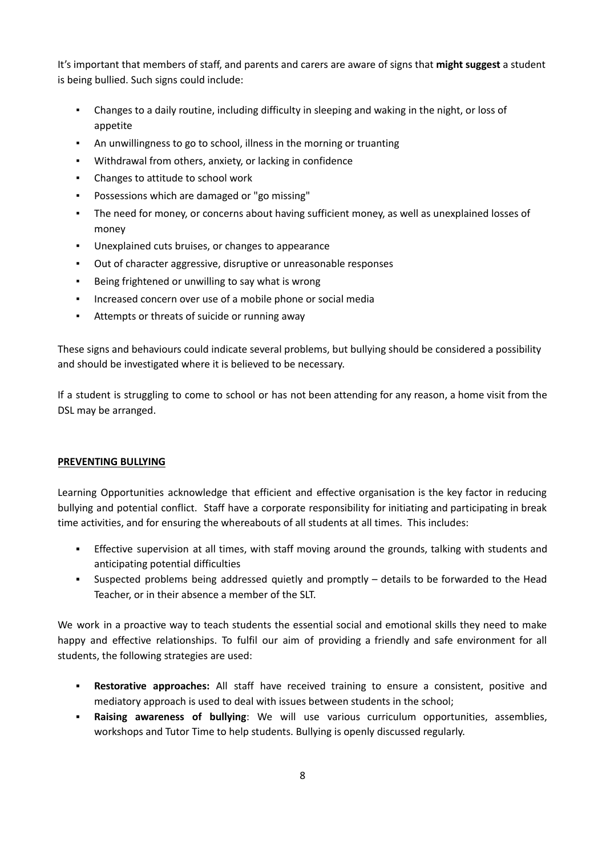It's important that members of staff, and parents and carers are aware of signs that **might suggest** a student is being bullied. Such signs could include:

- Changes to a daily routine, including difficulty in sleeping and waking in the night, or loss of appetite
- An unwillingness to go to school, illness in the morning or truanting
- Withdrawal from others, anxiety, or lacking in confidence
- Changes to attitude to school work
- Possessions which are damaged or "go missing"
- The need for money, or concerns about having sufficient money, as well as unexplained losses of money
- Unexplained cuts bruises, or changes to appearance
- Out of character aggressive, disruptive or unreasonable responses
- Being frightened or unwilling to say what is wrong
- Increased concern over use of a mobile phone or social media
- Attempts or threats of suicide or running away

These signs and behaviours could indicate several problems, but bullying should be considered a possibility and should be investigated where it is believed to be necessary.

If a student is struggling to come to school or has not been attending for any reason, a home visit from the DSL may be arranged.

### **PREVENTING BULLYING**

Learning Opportunities acknowledge that efficient and effective organisation is the key factor in reducing bullying and potential conflict. Staff have a corporate responsibility for initiating and participating in break time activities, and for ensuring the whereabouts of all students at all times. This includes:

- **•** Effective supervision at all times, with staff moving around the grounds, talking with students and anticipating potential difficulties
- Suspected problems being addressed quietly and promptly details to be forwarded to the Head Teacher, or in their absence a member of the SLT.

We work in a proactive way to teach students the essential social and emotional skills they need to make happy and effective relationships. To fulfil our aim of providing a friendly and safe environment for all students, the following strategies are used:

- **Restorative approaches:** All staff have received training to ensure a consistent, positive and mediatory approach is used to deal with issues between students in the school;
- **Raising awareness of bullying**: We will use various curriculum opportunities, assemblies, workshops and Tutor Time to help students. Bullying is openly discussed regularly.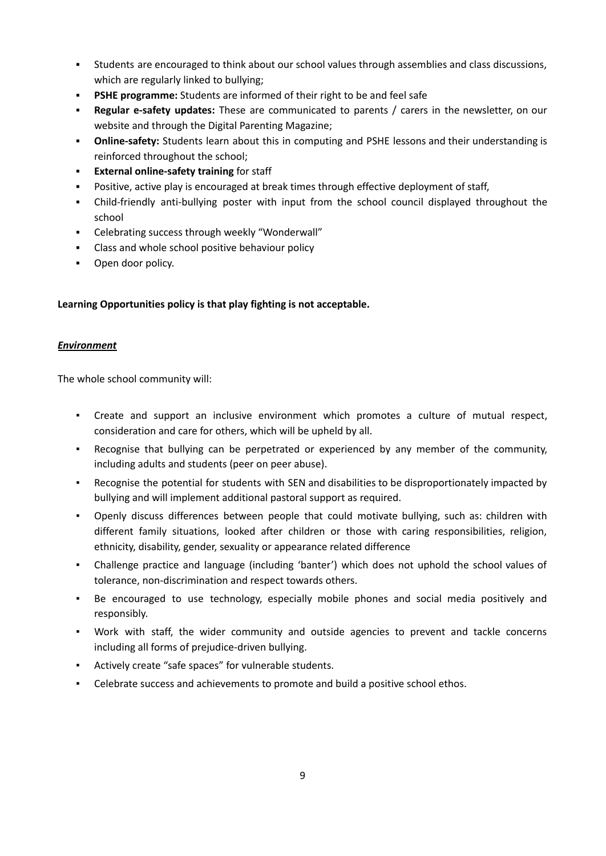- Students are encouraged to think about our school values through assemblies and class discussions, which are regularly linked to bullying;
- **PSHE** programme: Students are informed of their right to be and feel safe
- **Regular e-safety updates:** These are communicated to parents / carers in the newsletter, on our website and through the Digital Parenting Magazine;
- **Online-safety:** Students learn about this in computing and PSHE lessons and their understanding is reinforced throughout the school;
- **External online-safety training** for staff
- Positive, active play is encouraged at break times through effective deployment of staff,
- Child-friendly anti-bullying poster with input from the school council displayed throughout the school
- Celebrating success through weekly "Wonderwall"
- Class and whole school positive behaviour policy
- Open door policy.

## **Learning Opportunities policy is that play fighting is not acceptable.**

### *Environment*

The whole school community will:

- Create and support an inclusive environment which promotes a culture of mutual respect, consideration and care for others, which will be upheld by all.
- Recognise that bullying can be perpetrated or experienced by any member of the community, including adults and students (peer on peer abuse).
- Recognise the potential for students with SEN and disabilities to be disproportionately impacted by bullying and will implement additional pastoral support as required.
- Openly discuss differences between people that could motivate bullying, such as: children with different family situations, looked after children or those with caring responsibilities, religion, ethnicity, disability, gender, sexuality or appearance related difference
- Challenge practice and language (including 'banter') which does not uphold the school values of tolerance, non-discrimination and respect towards others.
- Be encouraged to use technology, especially mobile phones and social media positively and responsibly.
- Work with staff, the wider community and outside agencies to prevent and tackle concerns including all forms of prejudice-driven bullying.
- Actively create "safe spaces" for vulnerable students.
- Celebrate success and achievements to promote and build a positive school ethos.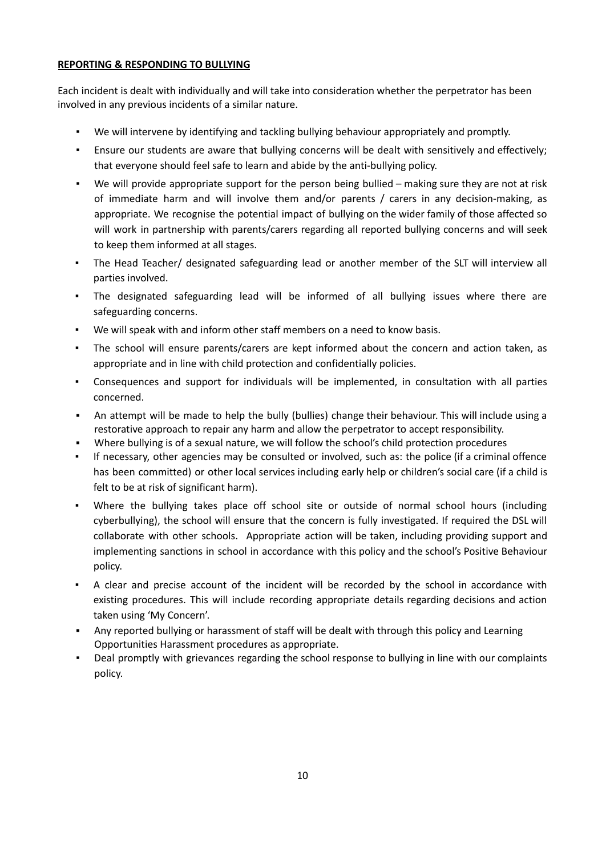### **REPORTING & RESPONDING TO BULLYING**

Each incident is dealt with individually and will take into consideration whether the perpetrator has been involved in any previous incidents of a similar nature.

- We will intervene by identifying and tackling bullying behaviour appropriately and promptly.
- **•** Ensure our students are aware that bullying concerns will be dealt with sensitively and effectively; that everyone should feel safe to learn and abide by the anti-bullying policy.
- We will provide appropriate support for the person being bullied making sure they are not at risk of immediate harm and will involve them and/or parents / carers in any decision-making, as appropriate. We recognise the potential impact of bullying on the wider family of those affected so will work in partnership with parents/carers regarding all reported bullying concerns and will seek to keep them informed at all stages.
- The Head Teacher/ designated safeguarding lead or another member of the SLT will interview all parties involved.
- The designated safeguarding lead will be informed of all bullying issues where there are safeguarding concerns.
- We will speak with and inform other staff members on a need to know basis.
- The school will ensure parents/carers are kept informed about the concern and action taken, as appropriate and in line with child protection and confidentially policies.
- Consequences and support for individuals will be implemented, in consultation with all parties concerned.
- An attempt will be made to help the bully (bullies) change their behaviour. This will include using a restorative approach to repair any harm and allow the perpetrator to accept responsibility.
- Where bullying is of a sexual nature, we will follow the school's child protection procedures
- If necessary, other agencies may be consulted or involved, such as: the police (if a criminal offence has been committed) or other local services including early help or children's social care (if a child is felt to be at risk of significant harm).
- Where the bullying takes place off school site or outside of normal school hours (including cyberbullying), the school will ensure that the concern is fully investigated. If required the DSL will collaborate with other schools. Appropriate action will be taken, including providing support and implementing sanctions in school in accordance with this policy and the school's Positive Behaviour policy.
- A clear and precise account of the incident will be recorded by the school in accordance with existing procedures. This will include recording appropriate details regarding decisions and action taken using 'My Concern'.
- Any reported bullying or harassment of staff will be dealt with through this policy and Learning Opportunities Harassment procedures as appropriate.
- Deal promptly with grievances regarding the school response to bullying in line with our complaints policy.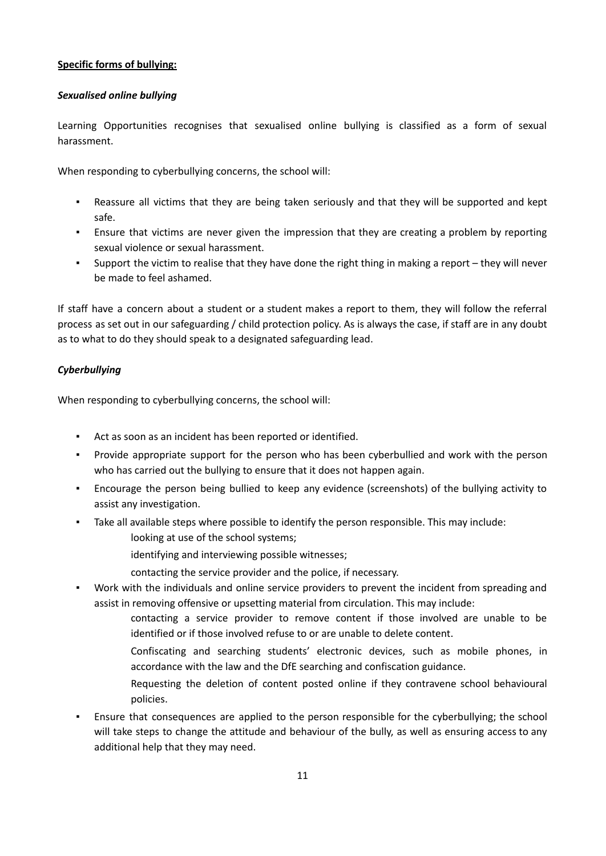### **Specific forms of bullying:**

### *Sexualised online bullying*

Learning Opportunities recognises that sexualised online bullying is classified as a form of sexual harassment.

When responding to cyberbullying concerns, the school will:

- Reassure all victims that they are being taken seriously and that they will be supported and kept safe.
- **•** Ensure that victims are never given the impression that they are creating a problem by reporting sexual violence or sexual harassment.
- Support the victim to realise that they have done the right thing in making a report they will never be made to feel ashamed.

If staff have a concern about a student or a student makes a report to them, they will follow the referral process as set out in our safeguarding / child protection policy. As is always the case, if staff are in any doubt as to what to do they should speak to a designated safeguarding lead.

### *Cyberbullying*

When responding to cyberbullying concerns, the school will:

- Act as soon as an incident has been reported or identified.
- Provide appropriate support for the person who has been cyberbullied and work with the person who has carried out the bullying to ensure that it does not happen again.
- Encourage the person being bullied to keep any evidence (screenshots) of the bullying activity to assist any investigation.
- Take all available steps where possible to identify the person responsible. This may include:
	- looking at use of the school systems;
		- identifying and interviewing possible witnesses;
		- contacting the service provider and the police, if necessary.
- Work with the individuals and online service providers to prevent the incident from spreading and assist in removing offensive or upsetting material from circulation. This may include:
	- contacting a service provider to remove content if those involved are unable to be identified or if those involved refuse to or are unable to delete content.
	- Confiscating and searching students' electronic devices, such as mobile phones, in accordance with the law and the DfE searching and confiscation guidance.
	- Requesting the deletion of content posted online if they contravene school behavioural policies.
- Ensure that consequences are applied to the person responsible for the cyberbullying; the school will take steps to change the attitude and behaviour of the bully, as well as ensuring access to any additional help that they may need.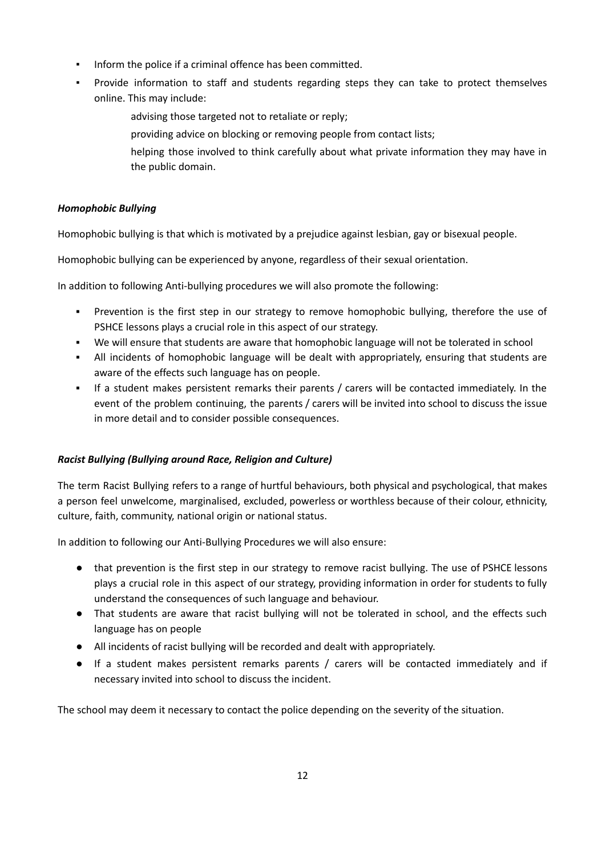- Inform the police if a criminal offence has been committed.
- Provide information to staff and students regarding steps they can take to protect themselves online. This may include:
	- advising those targeted not to retaliate or reply;
	- providing advice on blocking or removing people from contact lists;
	- helping those involved to think carefully about what private information they may have in the public domain.

### *Homophobic Bullying*

Homophobic bullying is that which is motivated by a prejudice against lesbian, gay or bisexual people.

Homophobic bullying can be experienced by anyone, regardless of their sexual orientation.

In addition to following Anti-bullying procedures we will also promote the following:

- **•** Prevention is the first step in our strategy to remove homophobic bullying, therefore the use of PSHCE lessons plays a crucial role in this aspect of our strategy.
- We will ensure that students are aware that homophobic language will not be tolerated in school
- All incidents of homophobic language will be dealt with appropriately, ensuring that students are aware of the effects such language has on people.
- If a student makes persistent remarks their parents / carers will be contacted immediately. In the event of the problem continuing, the parents / carers will be invited into school to discuss the issue in more detail and to consider possible consequences.

## *Racist Bullying (Bullying around Race, Religion and Culture)*

The term Racist Bullying refers to a range of hurtful behaviours, both physical and psychological, that makes a person feel unwelcome, marginalised, excluded, powerless or worthless because of their colour, ethnicity, culture, faith, community, national origin or national status.

In addition to following our Anti-Bullying Procedures we will also ensure:

- that prevention is the first step in our strategy to remove racist bullying. The use of PSHCE lessons plays a crucial role in this aspect of our strategy, providing information in order for students to fully understand the consequences of such language and behaviour.
- That students are aware that racist bullying will not be tolerated in school, and the effects such language has on people
- All incidents of racist bullying will be recorded and dealt with appropriately.
- If a student makes persistent remarks parents / carers will be contacted immediately and if necessary invited into school to discuss the incident.

The school may deem it necessary to contact the police depending on the severity of the situation.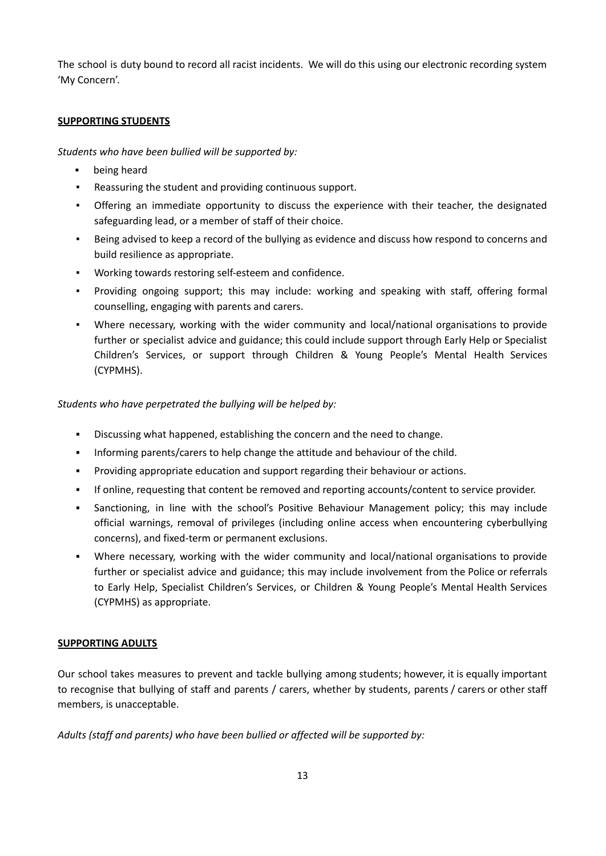The school is duty bound to record all racist incidents. We will do this using our electronic recording system 'My Concern'.

### **SUPPORTING STUDENTS**

*Students who have been bullied will be supported by:*

- being heard
- Reassuring the student and providing continuous support.
- Offering an immediate opportunity to discuss the experience with their teacher, the designated safeguarding lead, or a member of staff of their choice.
- Being advised to keep a record of the bullying as evidence and discuss how respond to concerns and build resilience as appropriate.
- Working towards restoring self-esteem and confidence.
- Providing ongoing support; this may include: working and speaking with staff, offering formal counselling, engaging with parents and carers.
- Where necessary, working with the wider community and local/national organisations to provide further or specialist advice and guidance; this could include support through Early Help or Specialist Children's Services, or support through Children & Young People's Mental Health Services (CYPMHS).

*Students who have perpetrated the bullying will be helped by:*

- Discussing what happened, establishing the concern and the need to change.
- Informing parents/carers to help change the attitude and behaviour of the child.
- Providing appropriate education and support regarding their behaviour or actions.
- If online, requesting that content be removed and reporting accounts/content to service provider.
- Sanctioning, in line with the school's Positive Behaviour Management policy; this may include official warnings, removal of privileges (including online access when encountering cyberbullying concerns), and fixed-term or permanent exclusions.
- Where necessary, working with the wider community and local/national organisations to provide further or specialist advice and guidance; this may include involvement from the Police or referrals to Early Help, Specialist Children's Services, or Children & Young People's Mental Health Services (CYPMHS) as appropriate.

### **SUPPORTING ADULTS**

Our school takes measures to prevent and tackle bullying among students; however, it is equally important to recognise that bullying of staff and parents / carers, whether by students, parents / carers or other staff members, is unacceptable.

*Adults (staff and parents) who have been bullied or affected will be supported by:*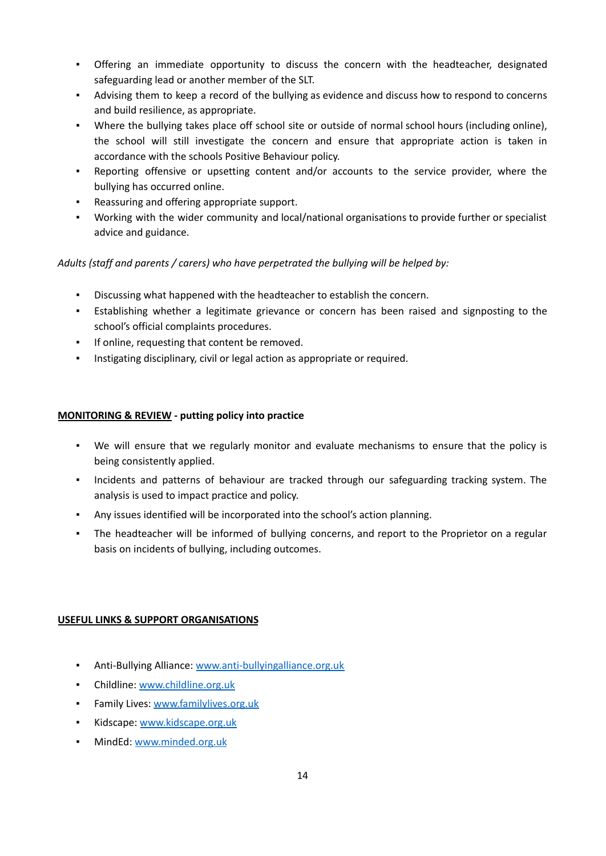- Offering an immediate opportunity to discuss the concern with the headteacher, designated safeguarding lead or another member of the SLT.
- Advising them to keep a record of the bullying as evidence and discuss how to respond to concerns and build resilience, as appropriate.
- Where the bullying takes place off school site or outside of normal school hours (including online), the school will still investigate the concern and ensure that appropriate action is taken in accordance with the schools Positive Behaviour policy.
- Reporting offensive or upsetting content and/or accounts to the service provider, where the bullying has occurred online.
- Reassuring and offering appropriate support.
- Working with the wider community and local/national organisations to provide further or specialist advice and guidance.

## *Adults (staff and parents / carers) who have perpetrated the bullying will be helped by:*

- Discussing what happened with the headteacher to establish the concern.
- Establishing whether a legitimate grievance or concern has been raised and signposting to the school's official complaints procedures.
- If online, requesting that content be removed.
- Instigating disciplinary, civil or legal action as appropriate or required.

## **MONITORING & REVIEW - putting policy into practice**

- We will ensure that we regularly monitor and evaluate mechanisms to ensure that the policy is being consistently applied.
- Incidents and patterns of behaviour are tracked through our safeguarding tracking system. The analysis is used to impact practice and policy.
- Any issues identified will be incorporated into the school's action planning.
- The headteacher will be informed of bullying concerns, and report to the Proprietor on a regular basis on incidents of bullying, including outcomes.

## **USEFUL LINKS & SUPPORT ORGANISATIONS**

- **Anti-Bullying Alliance: [www.anti-bullyingalliance.org.uk](http://www.anti-bullyingalliance.org.uk)**
- Childline: [www.childline.org.uk](http://www.childline.org.uk)
- **·** Family Lives: [www.familylives.org.uk](http://www.familylives.org.uk)
- **·** Kidscape: [www.kidscape.org.uk](http://www.kidscape.org.uk)
- MindEd: [www.minded.org.uk](http://www.minded.org.uk)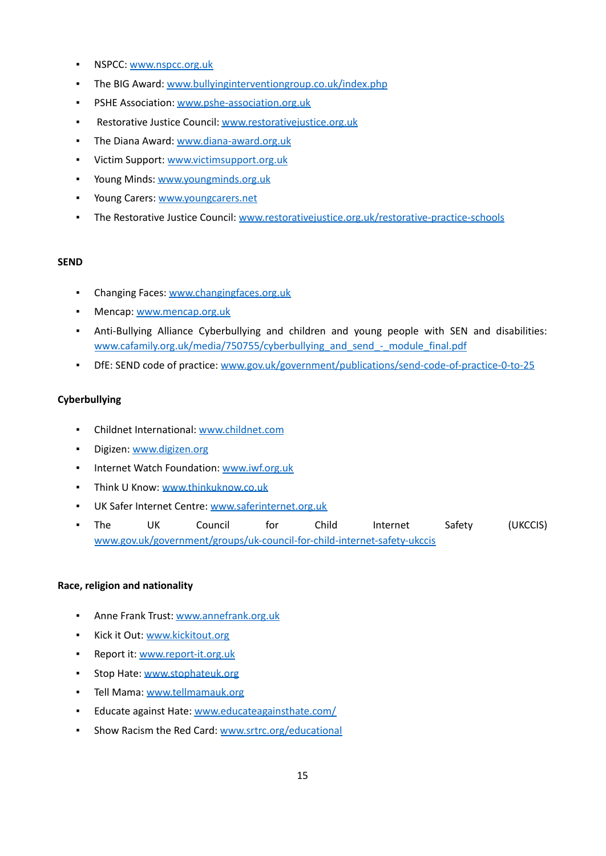- **NSPCC: [www.nspcc.org.uk](http://www.nspcc.org.uk)**
- **The BIG Award: [www.bullyinginterventiongroup.co.uk/index.php](http://www.bullyinginterventiongroup.co.uk/index.php)**
- **PSHE Association: [www.pshe-association.org.uk](http://www.pshe-association.org.uk)**
- Restorative Justice Council: [www.restorativejustice.org.uk](http://www.restorativejustice.org.uk)
- **The Diana Award: [www.diana-award.org.uk](http://www.diana-award.org.uk)**
- **·** Victim Support: [www.victimsupport.org.uk](http://www.victimsupport.org.uk)
- **Young Minds: [www.youngminds.org.uk](http://www.youngminds.org.uk)**
- **Young Carers: [www.youngcarers.net](http://www.youngcarers.net)**
- The Restorative Justice Council: [www.restorativejustice.org.uk/restorative-practice-schools](http://www.restorativejustice.org.uk/restorative-practice-schools)

#### **SEND**

- **Changing Faces: [www.changingfaces.org.uk](http://www.changingfaces.org.uk)**
- **Mencap: [www.mencap.org.uk](http://www.mencap.org.uk)**
- Anti-Bullying Alliance Cyberbullying and children and young people with SEN and disabilities: [www.cafamily.org.uk/media/750755/cyberbullying\\_and\\_send\\_-\\_module\\_final.pdf](http://www.cafamily.org.uk/media/750755/cyberbullying_and_send_-_module_final.pdf)
- DfE: SEND code of practice: [www.gov.uk/government/publications/send-code-of-practice-0-to-25](http://www.gov.uk/government/publications/send-code-of-practice-0-to-25)

#### **Cyberbullying**

- Childnet International: [www.childnet.com](http://www.childnet.com)
- **Digizen: [www.digizen.org](http://www.digizen.org)**
- Internet Watch Foundation: [www.iwf.org.uk](http://www.iwf.org.uk)
- **·** Think U Know: [www.thinkuknow.co.uk](http://www.thinkuknow.co.uk)
- UK Safer Internet Centre: [www.saferinternet.org.uk](http://www.saferinternet.org.uk)
- The UK Council for Child Internet Safety (UKCCIS) [www.gov.uk/government/groups/uk-council-for-child-internet-safety-ukccis](http://www.gov.uk/government/groups/uk-council-for-child-internet-safety-ukccis)

#### **Race, religion and nationality**

- Anne Frank Trust: [www.annefrank.org.uk](http://www.annefrank.org.uk)
- **EXECCITE: WWW.Kickitout.org**
- Report it: [www.report-it.org.uk](http://www.report-it.org.uk)
- **Stop Hate: [www.stophateuk.org](http://www.stophateuk.org)**
- **·** Tell Mama: [www.tellmamauk.org](http://www.tellmamauk.org)
- **Educate against Hate: [www.educateagainsthate.com/](http://www.educateagainsthate.com/)**
- Show Racism the Red Card: [www.srtrc.org/educational](http://www.srtrc.org/educational)